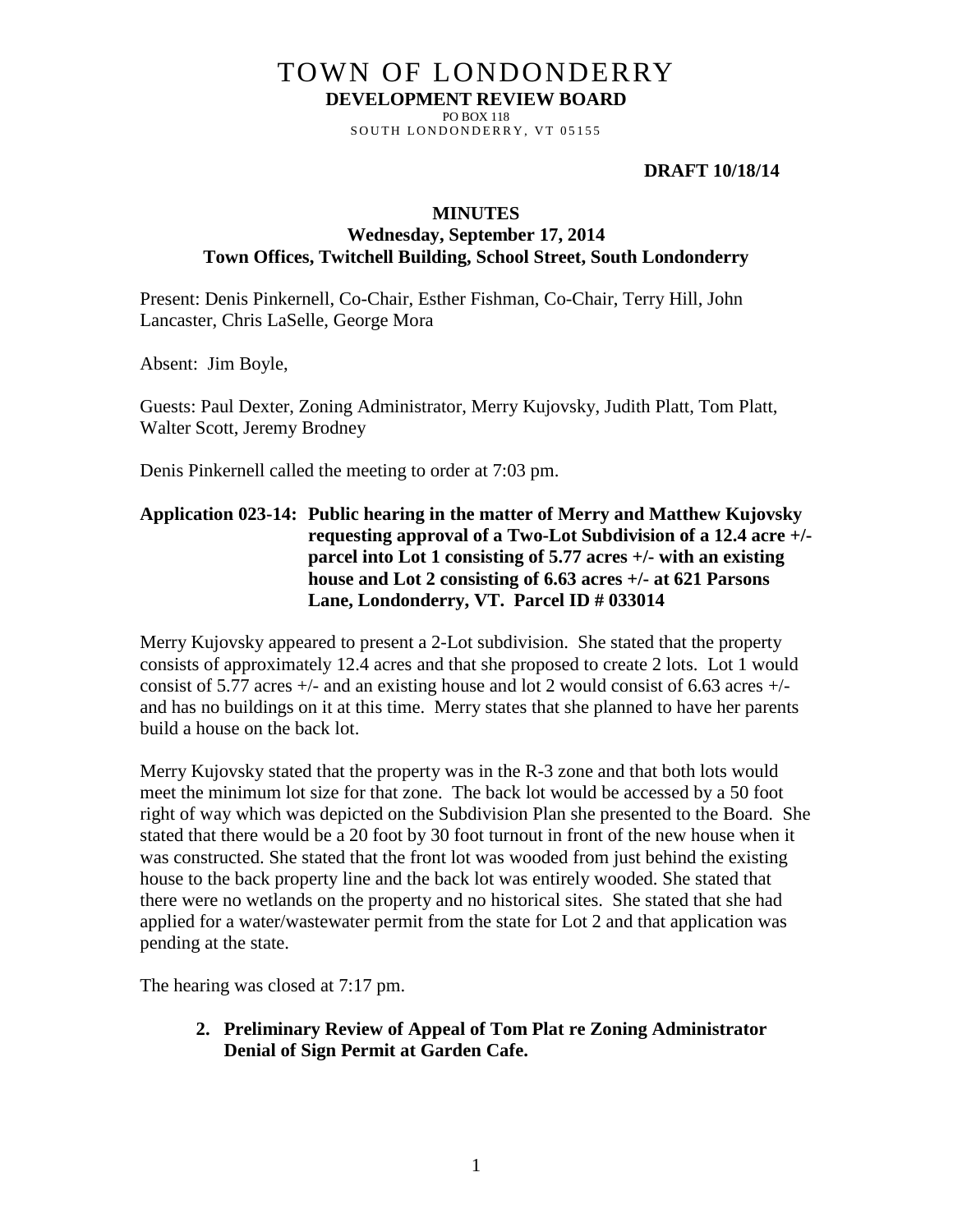# TOWN OF LONDONDERRY **DEVELOPMENT REVIEW BOARD**

PO BOX 118 SOUTH LONDONDERRY, VT 05155

#### **DRAFT 10/18/14**

#### **MINUTES**

### **Wednesday, September 17, 2014 Town Offices, Twitchell Building, School Street, South Londonderry**

Present: Denis Pinkernell, Co-Chair, Esther Fishman, Co-Chair, Terry Hill, John Lancaster, Chris LaSelle, George Mora

Absent: Jim Boyle,

Guests: Paul Dexter, Zoning Administrator, Merry Kujovsky, Judith Platt, Tom Platt, Walter Scott, Jeremy Brodney

Denis Pinkernell called the meeting to order at 7:03 pm.

### **Application 023-14: Public hearing in the matter of Merry and Matthew Kujovsky requesting approval of a Two-Lot Subdivision of a 12.4 acre +/ parcel into Lot 1 consisting of 5.77 acres +/- with an existing house and Lot 2 consisting of 6.63 acres +/- at 621 Parsons Lane, Londonderry, VT. Parcel ID # 033014**

Merry Kujovsky appeared to present a 2-Lot subdivision. She stated that the property consists of approximately 12.4 acres and that she proposed to create 2 lots. Lot 1 would consist of 5.77 acres  $+/-$  and an existing house and lot 2 would consist of 6.63 acres  $+/$ and has no buildings on it at this time. Merry states that she planned to have her parents build a house on the back lot.

Merry Kujovsky stated that the property was in the R-3 zone and that both lots would meet the minimum lot size for that zone. The back lot would be accessed by a 50 foot right of way which was depicted on the Subdivision Plan she presented to the Board. She stated that there would be a 20 foot by 30 foot turnout in front of the new house when it was constructed. She stated that the front lot was wooded from just behind the existing house to the back property line and the back lot was entirely wooded. She stated that there were no wetlands on the property and no historical sites. She stated that she had applied for a water/wastewater permit from the state for Lot 2 and that application was pending at the state.

The hearing was closed at 7:17 pm.

**2. Preliminary Review of Appeal of Tom Plat re Zoning Administrator Denial of Sign Permit at Garden Cafe.**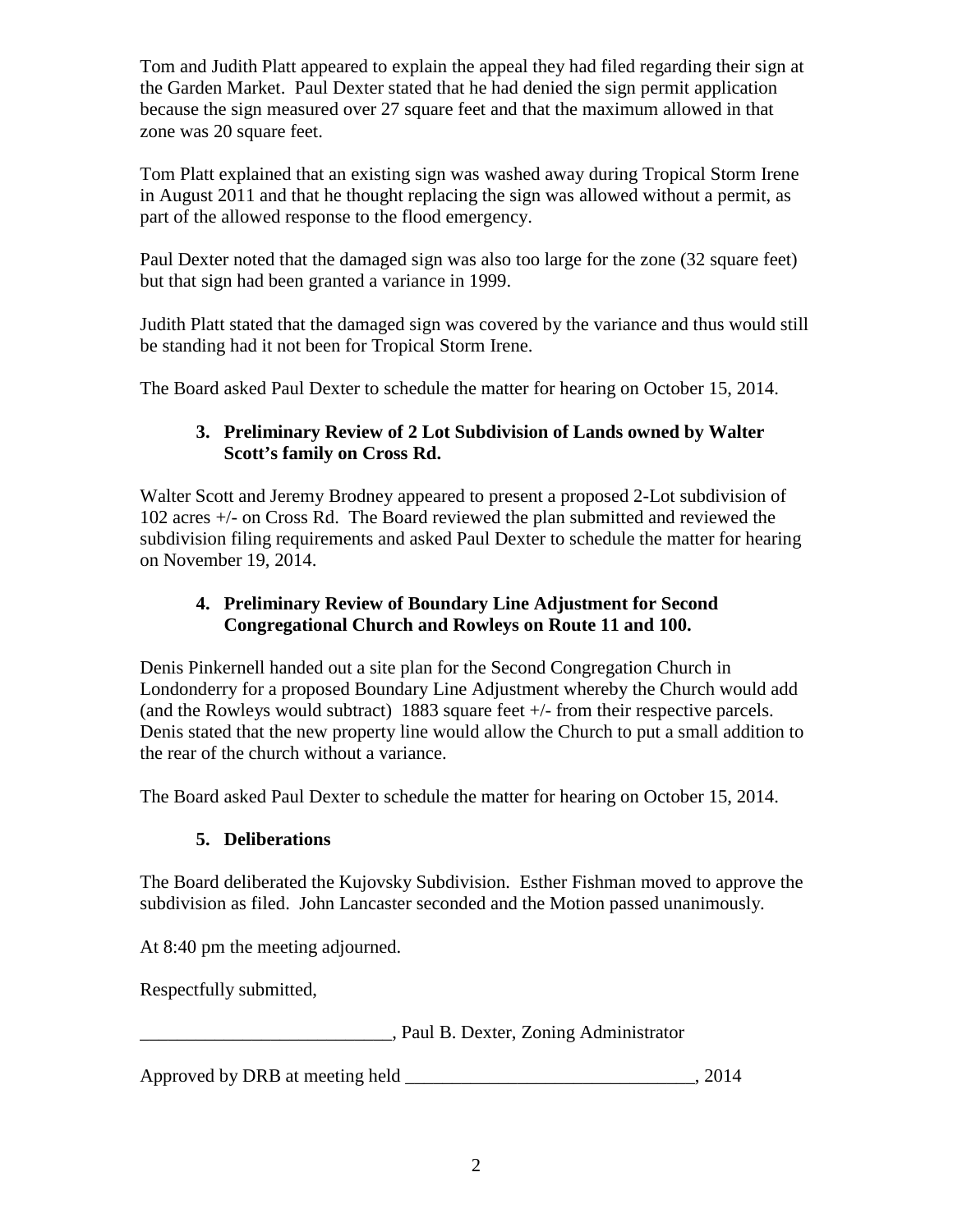Tom and Judith Platt appeared to explain the appeal they had filed regarding their sign at the Garden Market. Paul Dexter stated that he had denied the sign permit application because the sign measured over 27 square feet and that the maximum allowed in that zone was 20 square feet.

Tom Platt explained that an existing sign was washed away during Tropical Storm Irene in August 2011 and that he thought replacing the sign was allowed without a permit, as part of the allowed response to the flood emergency.

Paul Dexter noted that the damaged sign was also too large for the zone (32 square feet) but that sign had been granted a variance in 1999.

Judith Platt stated that the damaged sign was covered by the variance and thus would still be standing had it not been for Tropical Storm Irene.

The Board asked Paul Dexter to schedule the matter for hearing on October 15, 2014.

## **3. Preliminary Review of 2 Lot Subdivision of Lands owned by Walter Scott's family on Cross Rd.**

Walter Scott and Jeremy Brodney appeared to present a proposed 2-Lot subdivision of 102 acres +/- on Cross Rd. The Board reviewed the plan submitted and reviewed the subdivision filing requirements and asked Paul Dexter to schedule the matter for hearing on November 19, 2014.

## **4. Preliminary Review of Boundary Line Adjustment for Second Congregational Church and Rowleys on Route 11 and 100.**

Denis Pinkernell handed out a site plan for the Second Congregation Church in Londonderry for a proposed Boundary Line Adjustment whereby the Church would add (and the Rowleys would subtract) 1883 square feet +/- from their respective parcels. Denis stated that the new property line would allow the Church to put a small addition to the rear of the church without a variance.

The Board asked Paul Dexter to schedule the matter for hearing on October 15, 2014.

# **5. Deliberations**

The Board deliberated the Kujovsky Subdivision. Esther Fishman moved to approve the subdivision as filed. John Lancaster seconded and the Motion passed unanimously.

At 8:40 pm the meeting adjourned.

Respectfully submitted,

\_\_\_\_\_\_\_\_\_\_\_\_\_\_\_\_\_\_\_\_\_\_\_\_\_\_\_, Paul B. Dexter, Zoning Administrator

Approved by DRB at meeting held \_\_\_\_\_\_\_\_\_\_\_\_\_\_\_\_\_\_\_\_\_\_\_\_\_\_\_\_\_\_\_, 2014